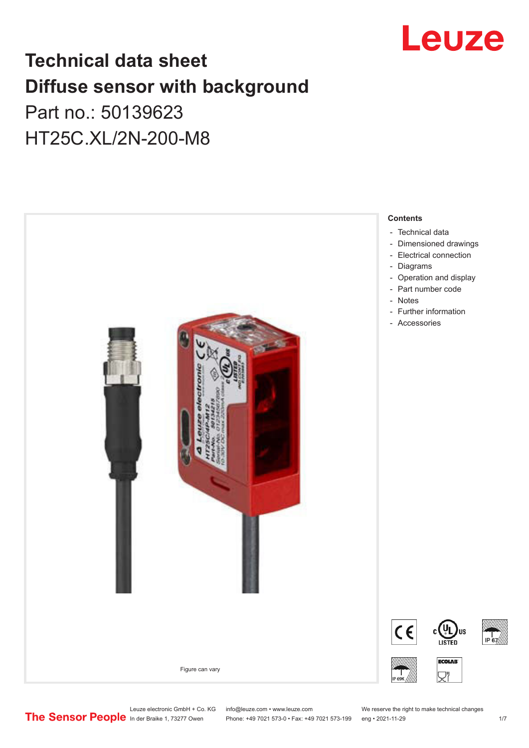

## **Technical data sheet Diffuse sensor with background**  Part no.: 50139623

## HT25C.XL/2N-200-M8



Leuze electronic GmbH + Co. KG info@leuze.com • www.leuze.com We reserve the right to make technical changes<br>
The Sensor People in der Braike 1, 73277 Owen Phone: +49 7021 573-0 • Fax: +49 7021 573-199 eng • 2021-11-29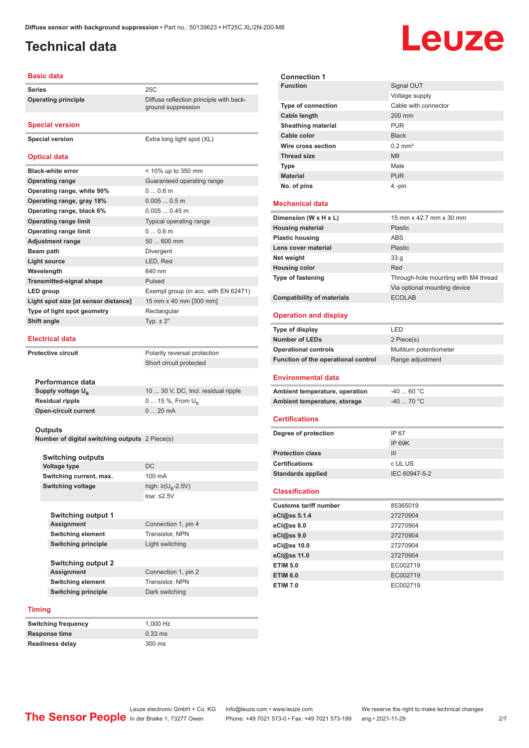ground suppression

#### <span id="page-1-0"></span>**Technical data**

# Leuze

#### **Basic data**

**Series** 25C **Operating principle** Diffuse reflection principle with back-

**Special version**

**Special version** Extra long light spot (XL)

#### **Optical data**

| <b>Black-white error</b>             | < 10% up to 350 mm                   |
|--------------------------------------|--------------------------------------|
| <b>Operating range</b>               | Guaranteed operating range           |
| Operating range, white 90%           | 00.6m                                |
| Operating range, gray 18%            | $0.0050.5$ m                         |
| Operating range, black 6%            | $0.0050.45$ m                        |
| <b>Operating range limit</b>         | Typical operating range              |
| <b>Operating range limit</b>         | 00.6m                                |
| <b>Adjustment range</b>              | 50  600 mm                           |
| Beam path                            | Divergent                            |
| <b>Light source</b>                  | LED, Red                             |
| Wavelength                           | 640 nm                               |
| <b>Transmitted-signal shape</b>      | Pulsed                               |
| LED group                            | Exempt group (in acc. with EN 62471) |
| Light spot size [at sensor distance] | 15 mm x 40 mm [300 mm]               |
| Type of light spot geometry          | Rectangular                          |
| Shift angle                          | Typ. $\pm 2^{\circ}$                 |
|                                      |                                      |

#### **Electrical data**

| <b>Protective circuit</b>     | Polarity reversal protection        |  |
|-------------------------------|-------------------------------------|--|
|                               | Short circuit protected             |  |
|                               |                                     |  |
| Performance data              |                                     |  |
| Supply voltage U <sub>p</sub> | 10  30 V, DC, Incl. residual ripple |  |
| <b>Residual ripple</b>        | 0  15 %, From $U_{\rm p}$           |  |
| <b>Open-circuit current</b>   | $0.20 \text{ mA}$                   |  |
|                               |                                     |  |

#### **Outputs**

**Number of digital switching outputs** 2 Piece(s)

| <b>Switching outputs</b>   |                                    |
|----------------------------|------------------------------------|
| <b>Voltage type</b>        | DC.                                |
| Switching current, max.    | 100 mA                             |
| <b>Switching voltage</b>   | high: $\geq (U_{\text{B}} - 2.5V)$ |
|                            | low: $\leq 2.5V$                   |
|                            |                                    |
| <b>Switching output 1</b>  |                                    |
| <b>Assignment</b>          | Connection 1, pin 4                |
| <b>Switching element</b>   | <b>Transistor, NPN</b>             |
| <b>Switching principle</b> | Light switching                    |
|                            |                                    |
| Switching output 2         |                                    |

**Switching output 2 Assignment** Connection 1, pin 2 **Switching element** Transistor, NPN **Switching principle** Dark switching

#### **Timing**

**Switching frequency** 1,000 Hz **Response time** 0.33 ms **Readiness delay** 300 ms

| <b>Connection 1</b>                 |                                      |
|-------------------------------------|--------------------------------------|
| <b>Function</b>                     | Signal OUT                           |
|                                     | Voltage supply                       |
| <b>Type of connection</b>           | Cable with connector                 |
| Cable length                        | 200 mm                               |
| <b>Sheathing material</b>           | <b>PUR</b>                           |
| Cable color                         | <b>Black</b>                         |
| Wire cross section                  | $0.2$ mm <sup>2</sup>                |
| <b>Thread size</b>                  | M <sub>8</sub>                       |
| Type                                | Male                                 |
| <b>Material</b>                     | <b>PUR</b>                           |
| No. of pins                         | 4-pin                                |
|                                     |                                      |
| <b>Mechanical data</b>              |                                      |
| Dimension (W x H x L)               | 15 mm x 42.7 mm x 30 mm              |
| <b>Housing material</b>             | <b>Plastic</b>                       |
| <b>Plastic housing</b>              | ABS                                  |
| Lens cover material                 | Plastic                              |
| Net weight                          | 33 <sub>g</sub>                      |
| <b>Housing color</b>                | Red                                  |
| Type of fastening                   | Through-hole mounting with M4 thread |
|                                     | Via optional mounting device         |
| <b>Compatibility of materials</b>   | <b>ECOLAB</b>                        |
|                                     |                                      |
| <b>Operation and display</b>        |                                      |
| Type of display                     | LED                                  |
| <b>Number of LEDs</b>               | 2 Piece(s)                           |
| <b>Operational controls</b>         | Multiturn potentiometer              |
| Function of the operational control | Range adjustment                     |
| <b>Environmental data</b>           |                                      |
| Ambient temperature, operation      | $-4060 °C$                           |
| Ambient temperature, storage        | -40  70 °C                           |
|                                     |                                      |
| <b>Certifications</b>               |                                      |
| Degree of protection                | IP 67                                |
|                                     | <b>IP 69K</b>                        |
| <b>Protection class</b>             | Ш                                    |
| Certifications                      | c UL US                              |
| <b>Standards applied</b>            | IEC 60947-5-2                        |
|                                     |                                      |
| <b>Classification</b>               |                                      |
| <b>Customs tariff number</b>        | 85365019                             |
| eCl@ss 5.1.4                        | 27270904                             |
| eCl@ss 8.0                          | 27270904                             |
| eCl@ss 9.0                          | 27270904                             |
| eCl@ss 10.0                         | 27270904                             |
| eCl@ss 11.0                         | 27270904                             |
| <b>ETIM 5.0</b>                     | EC002719                             |
|                                     |                                      |
| <b>ETIM 6.0</b>                     | EC002719                             |
| <b>ETIM 7.0</b>                     | EC002719                             |
|                                     |                                      |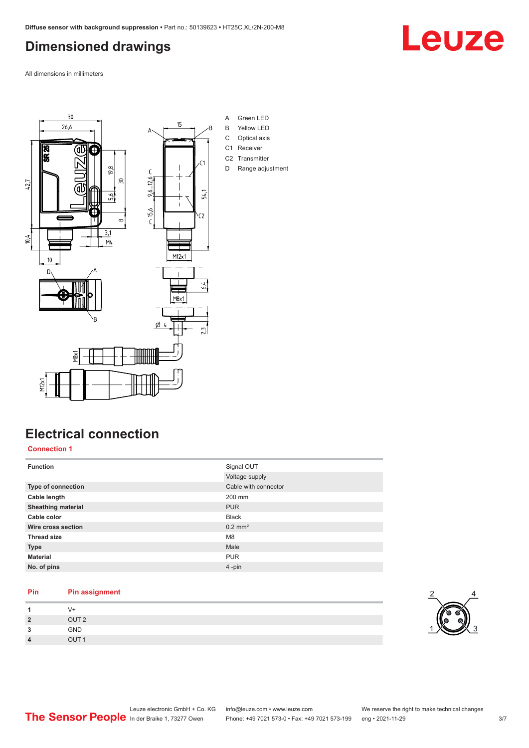### <span id="page-2-0"></span>**Dimensioned drawings**

All dimensions in millimeters



### **Electrical connection**

**Connection 1**

| <b>Function</b>           | Signal OUT            |
|---------------------------|-----------------------|
|                           | Voltage supply        |
| <b>Type of connection</b> | Cable with connector  |
| Cable length              | 200 mm                |
| <b>Sheathing material</b> | <b>PUR</b>            |
| Cable color               | <b>Black</b>          |
| Wire cross section        | $0.2$ mm <sup>2</sup> |
| <b>Thread size</b>        | M <sub>8</sub>        |
| <b>Type</b>               | Male                  |
| <b>Material</b>           | <b>PUR</b>            |
| No. of pins               | 4-pin                 |

#### **Pin Pin assignment**

|        | V+               |  |  |
|--------|------------------|--|--|
| 2      | OUT <sub>2</sub> |  |  |
| ,<br>v | GND              |  |  |
| л      | OUT <sub>1</sub> |  |  |



## Leuze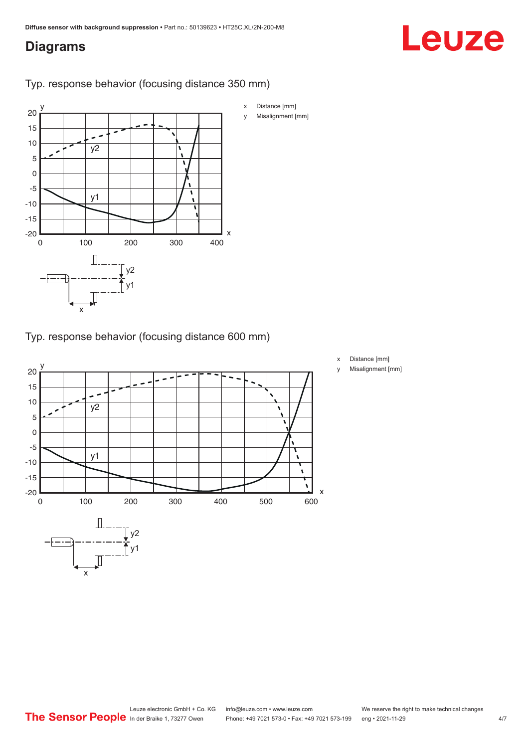#### <span id="page-3-0"></span>**Diagrams**

# Leuze



Typ. response behavior (focusing distance 350 mm)

Typ. response behavior (focusing distance 600 mm)



- x Distance [mm]
- y Misalignment [mm]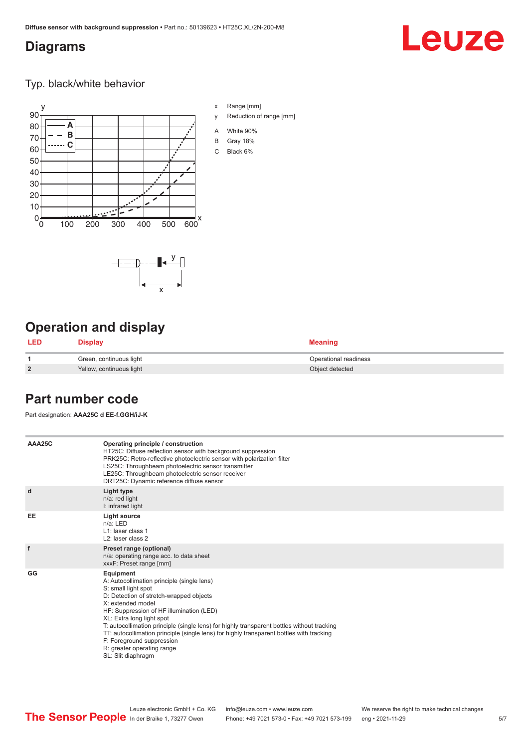x

 $-\overline{...}$   $-\overline{...}$   $-\overline{...}$ 

#### <span id="page-4-0"></span>**Diagrams**

# **Leuze**

Typ. black/white behavior



x Range [mm]

- y Reduction of range [mm]
- A White 90%
- B Gray 18%
- C Black 6%

### **Operation and display**

| LED            | Display                  | <b>Meaning</b>        |
|----------------|--------------------------|-----------------------|
|                | Green, continuous light  | Operational readiness |
| $\overline{2}$ | Yellow, continuous light | Object detected       |

#### **Part number code**

Part designation: **AAA25C d EE-f.GGH/iJ-K**

| AAA25C | Operating principle / construction<br>HT25C: Diffuse reflection sensor with background suppression<br>PRK25C: Retro-reflective photoelectric sensor with polarization filter<br>LS25C: Throughbeam photoelectric sensor transmitter<br>LE25C: Throughbeam photoelectric sensor receiver<br>DRT25C: Dynamic reference diffuse sensor                                                                                                                                                                |
|--------|----------------------------------------------------------------------------------------------------------------------------------------------------------------------------------------------------------------------------------------------------------------------------------------------------------------------------------------------------------------------------------------------------------------------------------------------------------------------------------------------------|
| d      | Light type<br>n/a: red light<br>I: infrared light                                                                                                                                                                                                                                                                                                                                                                                                                                                  |
| EE     | Light source<br>$n/a$ : LED<br>L1: laser class 1<br>L <sub>2</sub> : laser class 2                                                                                                                                                                                                                                                                                                                                                                                                                 |
| f      | Preset range (optional)<br>n/a: operating range acc. to data sheet<br>xxxF: Preset range [mm]                                                                                                                                                                                                                                                                                                                                                                                                      |
| GG     | Equipment<br>A: Autocollimation principle (single lens)<br>S: small light spot<br>D: Detection of stretch-wrapped objects<br>X: extended model<br>HF: Suppression of HF illumination (LED)<br>XL: Extra long light spot<br>T: autocollimation principle (single lens) for highly transparent bottles without tracking<br>TT: autocollimation principle (single lens) for highly transparent bottles with tracking<br>F: Foreground suppression<br>R: greater operating range<br>SL: Slit diaphragm |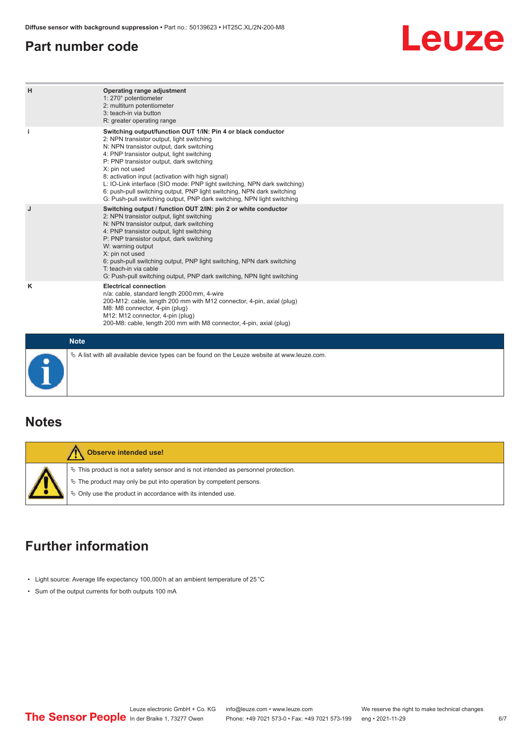#### <span id="page-5-0"></span>**Part number code**

# Leuze

| н           | Operating range adjustment<br>1: 270° potentiometer<br>2: multiturn potentiometer<br>3: teach-in via button<br>R: greater operating range                                                                                                                                                                                                                                                                                                                                                                                                              |
|-------------|--------------------------------------------------------------------------------------------------------------------------------------------------------------------------------------------------------------------------------------------------------------------------------------------------------------------------------------------------------------------------------------------------------------------------------------------------------------------------------------------------------------------------------------------------------|
| j.          | Switching output/function OUT 1/IN: Pin 4 or black conductor<br>2: NPN transistor output, light switching<br>N: NPN transistor output, dark switching<br>4: PNP transistor output, light switching<br>P: PNP transistor output, dark switching<br>X: pin not used<br>8: activation input (activation with high signal)<br>L: IO-Link interface (SIO mode: PNP light switching, NPN dark switching)<br>6: push-pull switching output, PNP light switching, NPN dark switching<br>G: Push-pull switching output, PNP dark switching, NPN light switching |
| J           | Switching output / function OUT 2/IN: pin 2 or white conductor<br>2: NPN transistor output, light switching<br>N: NPN transistor output, dark switching<br>4: PNP transistor output, light switching<br>P: PNP transistor output, dark switching<br>W: warning output<br>X: pin not used<br>6: push-pull switching output, PNP light switching, NPN dark switching<br>T: teach-in via cable<br>G: Push-pull switching output, PNP dark switching, NPN light switching                                                                                  |
| κ           | <b>Electrical connection</b><br>n/a: cable, standard length 2000 mm, 4-wire<br>200-M12: cable, length 200 mm with M12 connector, 4-pin, axial (plug)<br>M8: M8 connector, 4-pin (plug)<br>M12: M12 connector, 4-pin (plug)<br>200-M8: cable, length 200 mm with M8 connector, 4-pin, axial (plug)                                                                                                                                                                                                                                                      |
| <b>Note</b> |                                                                                                                                                                                                                                                                                                                                                                                                                                                                                                                                                        |

## **Notes**

| <b>Observe intended use!</b>                                                                                                                                                                                                  |
|-------------------------------------------------------------------------------------------------------------------------------------------------------------------------------------------------------------------------------|
| $\%$ This product is not a safety sensor and is not intended as personnel protection.<br>$\&$ The product may only be put into operation by competent persons.<br>♦ Only use the product in accordance with its intended use. |

 $\%$  A list with all available device types can be found on the Leuze website at www.leuze.com.

### **Further information**

- Light source: Average life expectancy 100,000 h at an ambient temperature of 25 °C
- Sum of the output currents for both outputs 100 mA